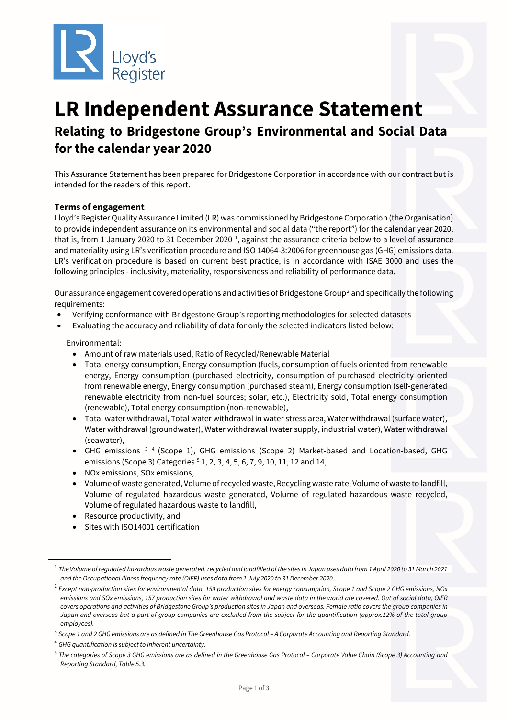

# **LR Independent Assurance Statement Relating to Bridgestone Group's Environmental and Social Data for the calendar year 2020**

This Assurance Statement has been prepared for Bridgestone Corporation in accordance with our contract but is intended for the readers of this report.

# **Terms of engagement**

Lloyd's Register Quality Assurance Limited (LR) was commissioned by Bridgestone Corporation (the Organisation) to provide independent assurance on its environmental and social data ("the report") for the calendar year 2020, that is, from [1](#page-2-0) January 2020 to 31 December 2020<sup>1</sup>, against the assurance criteria below to a level of assurance and materiality using LR's verification procedure and ISO 14064-3:2006 for greenhouse gas (GHG) emissions data. LR's verification procedure is based on current best practice, is in accordance with ISAE 3000 and uses the following principles - inclusivity, materiality, responsiveness and reliability of performance data.

Our assurance engagement covered operations and activities of Bridgestone Group<sup>[2](#page-0-0)</sup> and specifically the following requirements:

- Verifying conformance with Bridgestone Group's reporting methodologies for selected datasets
- Evaluating the accuracy and reliability of data for only the selected indicators listed below:

Environmental:

- Amount of raw materials used, Ratio of Recycled/Renewable Material
- Total energy consumption, Energy consumption (fuels, consumption of fuels oriented from renewable energy, Energy consumption (purchased electricity, consumption of purchased electricity oriented from renewable energy, Energy consumption (purchased steam), Energy consumption (self-generated renewable electricity from non-fuel sources; solar, etc.), Electricity sold, Total energy consumption (renewable), Total energy consumption (non-renewable),
- Total water withdrawal, Total water withdrawal in water stress area, Water withdrawal (surface water), Water withdrawal (groundwater), Water withdrawal (water supply, industrial water), Water withdrawal (seawater),
- GHG emissions [3](#page-0-1) [4](#page-0-2) (Scope 1), GHG emissions (Scope 2) Market-based and Location-based, GHG emissions (Scope 3) Categories <sup>[5](#page-0-3)</sup> 1, 2, 3, 4, 5, 6, 7, 9, 10, 11, 12 and 14,
- NOx emissions, SOx emissions,
- Volume of waste generated, Volume of recycled waste, Recycling waste rate, Volume of waste to landfill, Volume of regulated hazardous waste generated, Volume of regulated hazardous waste recycled, Volume of regulated hazardous waste to landfill,
- Resource productivity, and

-

Sites with ISO14001 certification

<sup>1</sup> *The Volume of regulated hazardous waste generated, recycled and landfilled of the sites in Japan uses data from 1 April 2020 to 31 March 2021 and the Occupational illness frequency rate (OIFR) uses data from 1 July 2020 to 31 December 2020.*

<span id="page-0-0"></span><sup>2</sup> *Except non-production sites for environmental data. 159 production sites for energy consumption, Scope 1 and Scope 2 GHG emissions, NOx emissions and SOx emissions, 157 production sites for water withdrawal and waste data in the world are covered. Out of social data, OIFR covers operations and activities of Bridgestone Group's production sites in Japan and overseas. Female ratio covers the group companies in Japan and overseas but a part of group companies are excluded from the subject for the quantification (approx.12% of the total group employees).*

<span id="page-0-1"></span><sup>3</sup> *Scope 1 and 2 GHG emissions are as defined in The Greenhouse Gas Protocol – A Corporate Accounting and Reporting Standard.*

<span id="page-0-2"></span><sup>4</sup> *GHG quantification is subject to inherent uncertainty.*

<span id="page-0-3"></span><sup>5</sup> *The categories of Scope 3 GHG emissions are as defined in the Greenhouse Gas Protocol – Corporate Value Chain (Scope 3) Accounting and Reporting Standard, Table 5.3.*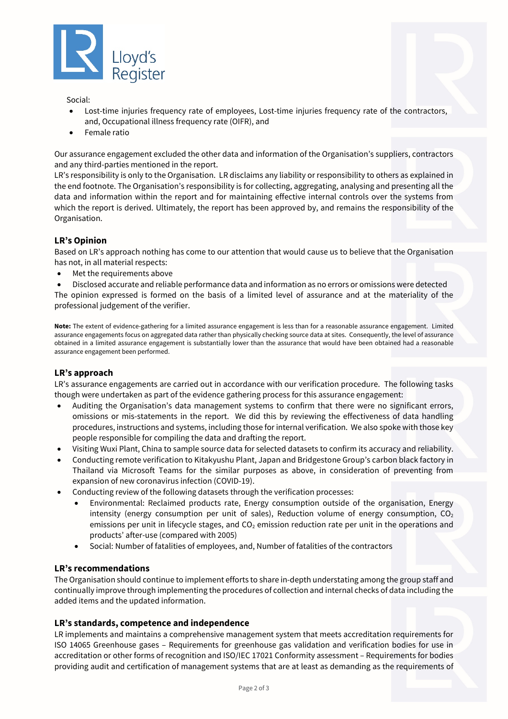

Social:

- Lost-time injuries frequency rate of employees, Lost-time injuries frequency rate of the contractors, and, Occupational illness frequency rate (OIFR), and
- Female ratio

Our assurance engagement excluded the other data and information of the Organisation's suppliers, contractors and any third-parties mentioned in the report.

LR's responsibility is only to the Organisation. LR disclaims any liability or responsibility to others as explained in the end footnote. The Organisation's responsibility is for collecting, aggregating, analysing and presenting all the data and information within the report and for maintaining effective internal controls over the systems from which the report is derived. Ultimately, the report has been approved by, and remains the responsibility of the Organisation.

#### **LR's Opinion**

Based on LR's approach nothing has come to our attention that would cause us to believe that the Organisation has not, in all material respects:

• Met the requirements above

• Disclosed accurate and reliable performance data and information as no errors or omissions were detected The opinion expressed is formed on the basis of a limited level of assurance and at the materiality of the professional judgement of the verifier.

**Note:** The extent of evidence-gathering for a limited assurance engagement is less than for a reasonable assurance engagement. Limited assurance engagements focus on aggregated data rather than physically checking source data at sites. Consequently, the level of assurance obtained in a limited assurance engagement is substantially lower than the assurance that would have been obtained had a reasonable assurance engagement been performed.

#### **LR's approach**

LR's assurance engagements are carried out in accordance with our verification procedure. The following tasks though were undertaken as part of the evidence gathering process for this assurance engagement:

- Auditing the Organisation's data management systems to confirm that there were no significant errors, omissions or mis-statements in the report. We did this by reviewing the effectiveness of data handling procedures, instructions and systems, including those for internal verification. We also spoke with those key people responsible for compiling the data and drafting the report.
- Visiting Wuxi Plant, China to sample source data for selected datasets to confirm its accuracy and reliability.
- Conducting remote verification to Kitakyushu Plant, Japan and Bridgestone Group's carbon black factory in Thailand via Microsoft Teams for the similar purposes as above, in consideration of preventing from expansion of new coronavirus infection (COVID-19).
- Conducting review of the following datasets through the verification processes:
	- Environmental: Reclaimed products rate, Energy consumption outside of the organisation, Energy intensity (energy consumption per unit of sales), Reduction volume of energy consumption,  $CO<sub>2</sub>$ emissions per unit in lifecycle stages, and  $CO<sub>2</sub>$  emission reduction rate per unit in the operations and products' after-use (compared with 2005)
	- Social: Number of fatalities of employees, and, Number of fatalities of the contractors

#### **LR's recommendations**

The Organisation should continue to implement efforts to share in-depth understating among the group staff and continually improve through implementing the procedures of collection and internal checks of data including the added items and the updated information.

#### **LR's standards, competence and independence**

LR implements and maintains a comprehensive management system that meets accreditation requirements for ISO 14065 Greenhouse gases – Requirements for greenhouse gas validation and verification bodies for use in accreditation or other forms of recognition and ISO/IEC 17021 Conformity assessment – Requirements for bodies providing audit and certification of management systems that are at least as demanding as the requirements of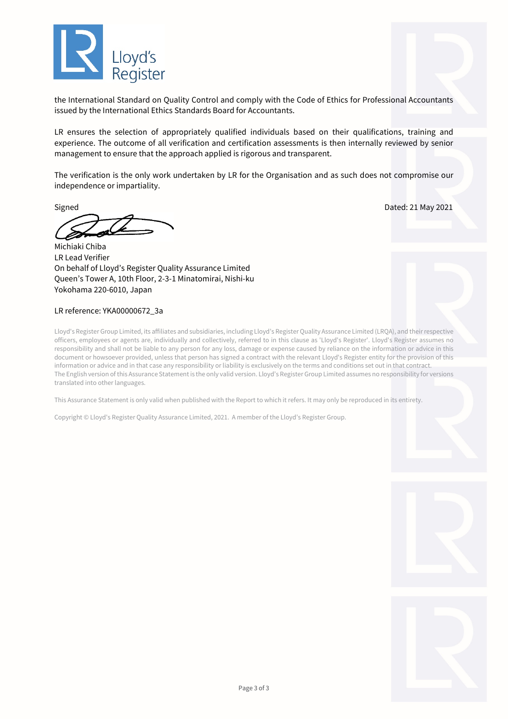

the International Standard on Quality Control and comply with the Code of Ethics for Professional Accountants issued by the International Ethics Standards Board for Accountants.

LR ensures the selection of appropriately qualified individuals based on their qualifications, training and experience. The outcome of all verification and certification assessments is then internally reviewed by senior management to ensure that the approach applied is rigorous and transparent.

The verification is the only work undertaken by LR for the Organisation and as such does not compromise our independence or impartiality.

Signed Dated: 21 May 2021

Michiaki Chiba LR Lead Verifier On behalf of Lloyd's Register Quality Assurance Limited Queen's Tower A, 10th Floor, 2-3-1 Minatomirai, Nishi-ku Yokohama 220-6010, Japan

#### LR reference: YKA00000672\_3a

Lloyd's Register Group Limited, its affiliates and subsidiaries, including Lloyd's Register Quality Assurance Limited (LRQA), and their respective officers, employees or agents are, individually and collectively, referred to in this clause as 'Lloyd's Register'. Lloyd's Register assumes no responsibility and shall not be liable to any person for any loss, damage or expense caused by reliance on the information or advice in this document or howsoever provided, unless that person has signed a contract with the relevant Lloyd's Register entity for the provision of this information or advice and in that case any responsibility or liability is exclusively on the terms and conditions set out in that contract. The English version of this Assurance Statement is the only valid version. Lloyd's Register Group Limited assumes no responsibility for versions translated into other languages.

This Assurance Statement is only valid when published with the Report to which it refers. It may only be reproduced in its entirety.

<span id="page-2-0"></span>Copyright © Lloyd's Register Quality Assurance Limited, 2021. A member of the Lloyd's Register Group.



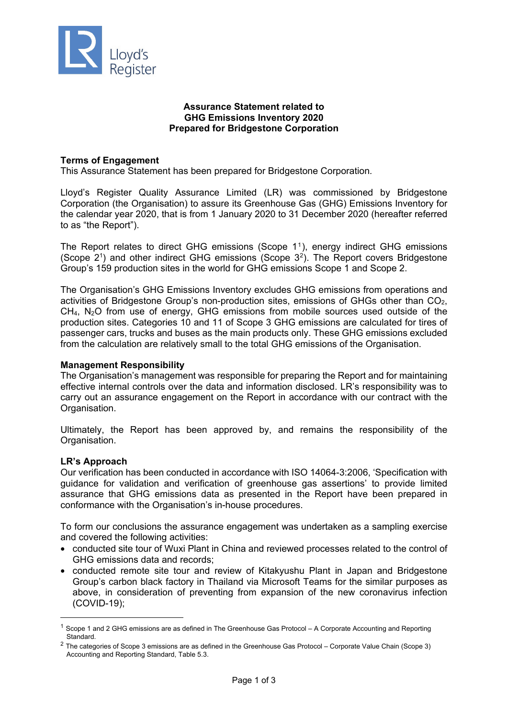

# **Assurance Statement related to GHG Emissions Inventory 2020 Prepared for Bridgestone Corporation**

# **Terms of Engagement**

This Assurance Statement has been prepared for Bridgestone Corporation*.*

Lloyd's Register Quality Assurance Limited (LR) was commissioned by Bridgestone Corporation (the Organisation) to assure its Greenhouse Gas (GHG) Emissions Inventory for the calendar year 2020, that is from 1 January 2020 to 31 December 2020 (hereafter referred to as "the Report").

The Report relates to direct GHG emissions (Scope 11), energy indirect GHG emissions (Scope  $2<sup>1</sup>$ ) and other indirect GHG emissions (Scope  $3<sup>2</sup>$ ). The Report covers Bridgestone Group's 159 production sites in the world for GHG emissions Scope 1 and Scope 2.

The Organisation's GHG Emissions Inventory excludes GHG emissions from operations and activities of Bridgestone Group's non-production sites, emissions of GHGs other than CO2, CH4, N2O from use of energy, GHG emissions from mobile sources used outside of the production sites. Categories 10 and 11 of Scope 3 GHG emissions are calculated for tires of passenger cars, trucks and buses as the main products only. These GHG emissions excluded from the calculation are relatively small to the total GHG emissions of the Organisation.

### **Management Responsibility**

The Organisation's management was responsible for preparing the Report and for maintaining effective internal controls over the data and information disclosed. LR's responsibility was to carry out an assurance engagement on the Report in accordance with our contract with the Organisation.

Ultimately, the Report has been approved by, and remains the responsibility of the Organisation.

#### **LR's Approach**

Our verification has been conducted in accordance with ISO 14064-3:2006, 'Specification with guidance for validation and verification of greenhouse gas assertions' to provide limited assurance that GHG emissions data as presented in the Report have been prepared in conformance with the Organisation's in-house procedures.

To form our conclusions the assurance engagement was undertaken as a sampling exercise and covered the following activities:

- conducted site tour of Wuxi Plant in China and reviewed processes related to the control of GHG emissions data and records;
- conducted remote site tour and review of Kitakyushu Plant in Japan and Bridgestone Group's carbon black factory in Thailand via Microsoft Teams for the similar purposes as above, in consideration of preventing from expansion of the new coronavirus infection (COVID-19);

<sup>1</sup> Scope 1 and 2 GHG emissions are as defined in The Greenhouse Gas Protocol – A Corporate Accounting and Reporting Standard.

 $2$  The categories of Scope 3 emissions are as defined in the Greenhouse Gas Protocol – Corporate Value Chain (Scope 3) Accounting and Reporting Standard, Table 5.3.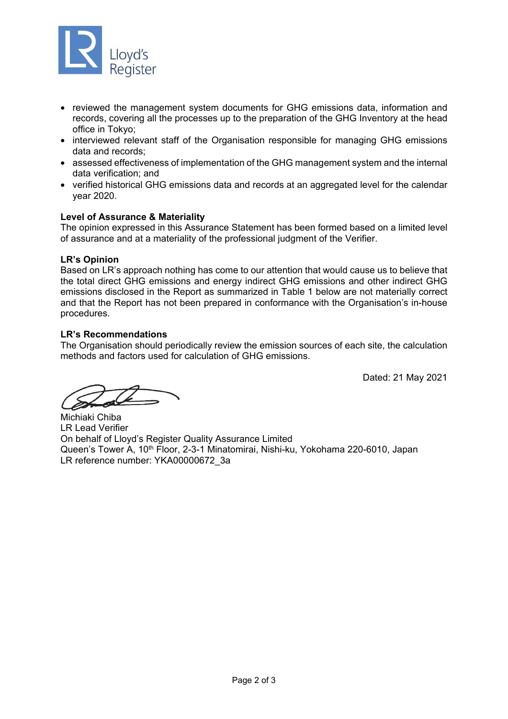

- reviewed the management system documents for GHG emissions data, information and records, covering all the processes up to the preparation of the GHG Inventory at the head office in Tokyo;
- interviewed relevant staff of the Organisation responsible for managing GHG emissions data and records;
- assessed effectiveness of implementation of the GHG management system and the internal data verification; and
- verified historical GHG emissions data and records at an aggregated level for the calendar year 2020.

# **Level of Assurance & Materiality**

The opinion expressed in this Assurance Statement has been formed based on a limited level of assurance and at a materiality of the professional judgment of the Verifier.

# **LR's Opinion**

Based on LR's approach nothing has come to our attention that would cause us to believe that the total direct GHG emissions and energy indirect GHG emissions and other indirect GHG emissions disclosed in the Report as summarized in Table 1 below are not materially correct and that the Report has not been prepared in conformance with the Organisation's in-house procedures.

# **LR's Recommendations**

The Organisation should periodically review the emission sources of each site, the calculation methods and factors used for calculation of GHG emissions.

Dated: 21 May 2021

Michiaki Chiba LR Lead Verifier On behalf of Lloyd's Register Quality Assurance Limited Queen's Tower A, 10<sup>th</sup> Floor, 2-3-1 Minatomirai, Nishi-ku, Yokohama 220-6010, Japan LR reference number: YKA00000672\_3a